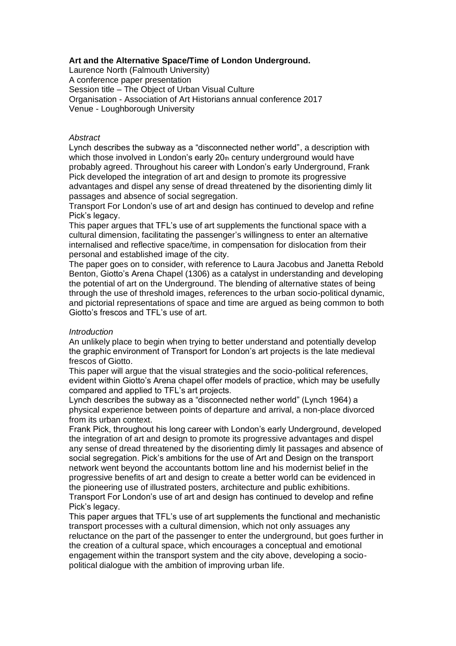## **Art and the Alternative Space/Time of London Underground.**

Laurence North (Falmouth University) A conference paper presentation Session title – The Object of Urban Visual Culture Organisation - Association of Art Historians annual conference 2017 Venue - Loughborough University

## *Abstract*

Lynch describes the subway as a "disconnected nether world", a description with which those involved in London's early  $20<sub>th</sub>$  century underground would have probably agreed. Throughout his career with London's early Underground, Frank Pick developed the integration of art and design to promote its progressive advantages and dispel any sense of dread threatened by the disorienting dimly lit passages and absence of social segregation.

Transport For London's use of art and design has continued to develop and refine Pick's legacy.

This paper argues that TFL's use of art supplements the functional space with a cultural dimension, facilitating the passenger's willingness to enter an alternative internalised and reflective space/time, in compensation for dislocation from their personal and established image of the city.

The paper goes on to consider, with reference to Laura Jacobus and Janetta Rebold Benton, Giotto's Arena Chapel (1306) as a catalyst in understanding and developing the potential of art on the Underground. The blending of alternative states of being through the use of threshold images, references to the urban socio-political dynamic, and pictorial representations of space and time are argued as being common to both Giotto's frescos and TFL's use of art.

## *Introduction*

An unlikely place to begin when trying to better understand and potentially develop the graphic environment of Transport for London's art projects is the late medieval frescos of Giotto.

This paper will argue that the visual strategies and the socio-political references, evident within Giotto's Arena chapel offer models of practice, which may be usefully compared and applied to TFL's art projects.

Lynch describes the subway as a "disconnected nether world" (Lynch 1964) a physical experience between points of departure and arrival, a non-place divorced from its urban context.

Frank Pick, throughout his long career with London's early Underground, developed the integration of art and design to promote its progressive advantages and dispel any sense of dread threatened by the disorienting dimly lit passages and absence of social segregation. Pick's ambitions for the use of Art and Design on the transport network went beyond the accountants bottom line and his modernist belief in the progressive benefits of art and design to create a better world can be evidenced in the pioneering use of illustrated posters, architecture and public exhibitions.

Transport For London's use of art and design has continued to develop and refine Pick's legacy.

This paper argues that TFL's use of art supplements the functional and mechanistic transport processes with a cultural dimension, which not only assuages any reluctance on the part of the passenger to enter the underground, but goes further in the creation of a cultural space, which encourages a conceptual and emotional engagement within the transport system and the city above, developing a sociopolitical dialogue with the ambition of improving urban life.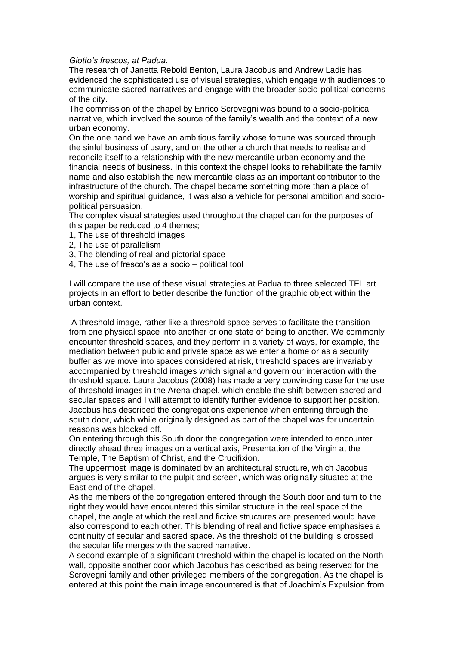## *Giotto's frescos, at Padua.*

The research of Janetta Rebold Benton, Laura Jacobus and Andrew Ladis has evidenced the sophisticated use of visual strategies, which engage with audiences to communicate sacred narratives and engage with the broader socio-political concerns of the city.

The commission of the chapel by Enrico Scrovegni was bound to a socio-political narrative, which involved the source of the family's wealth and the context of a new urban economy.

On the one hand we have an ambitious family whose fortune was sourced through the sinful business of usury, and on the other a church that needs to realise and reconcile itself to a relationship with the new mercantile urban economy and the financial needs of business. In this context the chapel looks to rehabilitate the family name and also establish the new mercantile class as an important contributor to the infrastructure of the church. The chapel became something more than a place of worship and spiritual guidance, it was also a vehicle for personal ambition and sociopolitical persuasion.

The complex visual strategies used throughout the chapel can for the purposes of this paper be reduced to 4 themes;

- 1, The use of threshold images
- 2, The use of parallelism
- 3, The blending of real and pictorial space
- 4, The use of fresco's as a socio political tool

I will compare the use of these visual strategies at Padua to three selected TFL art projects in an effort to better describe the function of the graphic object within the urban context.

A threshold image, rather like a threshold space serves to facilitate the transition from one physical space into another or one state of being to another. We commonly encounter threshold spaces, and they perform in a variety of ways, for example, the mediation between public and private space as we enter a home or as a security buffer as we move into spaces considered at risk, threshold spaces are invariably accompanied by threshold images which signal and govern our interaction with the threshold space. Laura Jacobus (2008) has made a very convincing case for the use of threshold images in the Arena chapel, which enable the shift between sacred and secular spaces and I will attempt to identify further evidence to support her position. Jacobus has described the congregations experience when entering through the south door, which while originally designed as part of the chapel was for uncertain reasons was blocked off.

On entering through this South door the congregation were intended to encounter directly ahead three images on a vertical axis, Presentation of the Virgin at the Temple, The Baptism of Christ, and the Crucifixion.

The uppermost image is dominated by an architectural structure, which Jacobus argues is very similar to the pulpit and screen, which was originally situated at the East end of the chapel.

As the members of the congregation entered through the South door and turn to the right they would have encountered this similar structure in the real space of the chapel, the angle at which the real and fictive structures are presented would have also correspond to each other. This blending of real and fictive space emphasises a continuity of secular and sacred space. As the threshold of the building is crossed the secular life merges with the sacred narrative.

A second example of a significant threshold within the chapel is located on the North wall, opposite another door which Jacobus has described as being reserved for the Scrovegni family and other privileged members of the congregation. As the chapel is entered at this point the main image encountered is that of Joachim's Expulsion from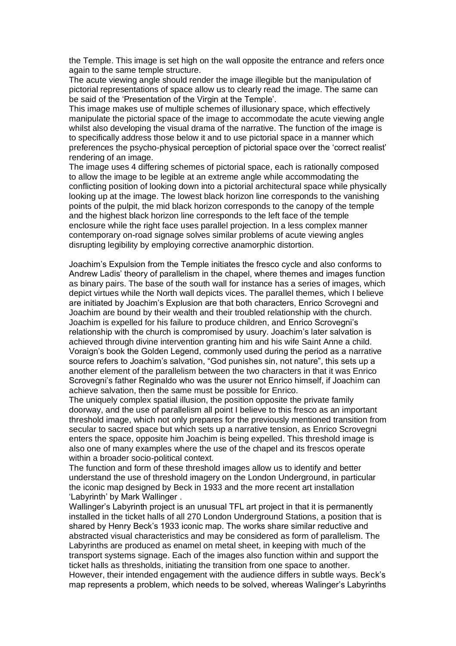the Temple. This image is set high on the wall opposite the entrance and refers once again to the same temple structure.

The acute viewing angle should render the image illegible but the manipulation of pictorial representations of space allow us to clearly read the image. The same can be said of the 'Presentation of the Virgin at the Temple'.

This image makes use of multiple schemes of illusionary space, which effectively manipulate the pictorial space of the image to accommodate the acute viewing angle whilst also developing the visual drama of the narrative. The function of the image is to specifically address those below it and to use pictorial space in a manner which preferences the psycho-physical perception of pictorial space over the 'correct realist' rendering of an image.

The image uses 4 differing schemes of pictorial space, each is rationally composed to allow the image to be legible at an extreme angle while accommodating the conflicting position of looking down into a pictorial architectural space while physically looking up at the image. The lowest black horizon line corresponds to the vanishing points of the pulpit, the mid black horizon corresponds to the canopy of the temple and the highest black horizon line corresponds to the left face of the temple enclosure while the right face uses parallel projection. In a less complex manner contemporary on-road signage solves similar problems of acute viewing angles disrupting legibility by employing corrective anamorphic distortion.

Joachim's Expulsion from the Temple initiates the fresco cycle and also conforms to Andrew Ladis' theory of parallelism in the chapel, where themes and images function as binary pairs. The base of the south wall for instance has a series of images, which depict virtues while the North wall depicts vices. The parallel themes, which I believe are initiated by Joachim's Explusion are that both characters, Enrico Scrovegni and Joachim are bound by their wealth and their troubled relationship with the church. Joachim is expelled for his failure to produce children, and Enrico Scrovegni's relationship with the church is compromised by usury. Joachim's later salvation is achieved through divine intervention granting him and his wife Saint Anne a child. Voraign's book the Golden Legend, commonly used during the period as a narrative source refers to Joachim's salvation, "God punishes sin, not nature", this sets up a another element of the parallelism between the two characters in that it was Enrico Scrovegni's father Reginaldo who was the usurer not Enrico himself, if Joachim can achieve salvation, then the same must be possible for Enrico.

The uniquely complex spatial illusion, the position opposite the private family doorway, and the use of parallelism all point I believe to this fresco as an important threshold image, which not only prepares for the previously mentioned transition from secular to sacred space but which sets up a narrative tension, as Enrico Scrovegni enters the space, opposite him Joachim is being expelled. This threshold image is also one of many examples where the use of the chapel and its frescos operate within a broader socio-political context.

The function and form of these threshold images allow us to identify and better understand the use of threshold imagery on the London Underground, in particular the iconic map designed by Beck in 1933 and the more recent art installation 'Labyrinth' by Mark Wallinger .

Wallinger's Labyrinth project is an unusual TFL art project in that it is permanently installed in the ticket halls of all 270 London Underground Stations, a position that is shared by Henry Beck's 1933 iconic map. The works share similar reductive and abstracted visual characteristics and may be considered as form of parallelism. The Labyrinths are produced as enamel on metal sheet, in keeping with much of the transport systems signage. Each of the images also function within and support the ticket halls as thresholds, initiating the transition from one space to another. However, their intended engagement with the audience differs in subtle ways. Beck's map represents a problem, which needs to be solved, whereas Walinger's Labyrinths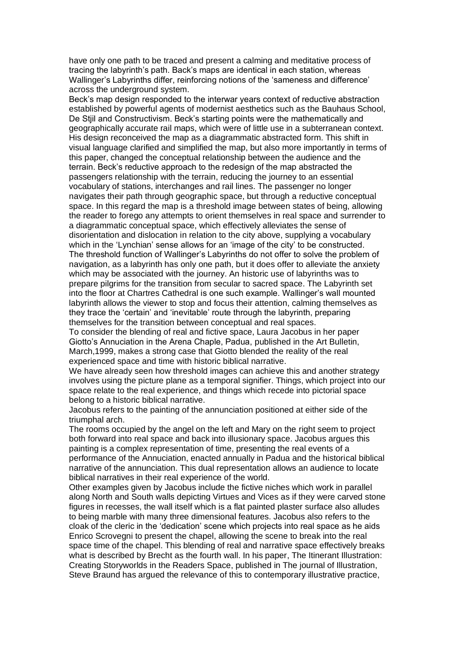have only one path to be traced and present a calming and meditative process of tracing the labyrinth's path. Back's maps are identical in each station, whereas Wallinger's Labyrinths differ, reinforcing notions of the 'sameness and difference' across the underground system.

Beck's map design responded to the interwar years context of reductive abstraction established by powerful agents of modernist aesthetics such as the Bauhaus School, De Stjil and Constructivism. Beck's starting points were the mathematically and geographically accurate rail maps, which were of little use in a subterranean context. His design reconceived the map as a diagrammatic abstracted form. This shift in visual language clarified and simplified the map, but also more importantly in terms of this paper, changed the conceptual relationship between the audience and the terrain. Beck's reductive approach to the redesign of the map abstracted the passengers relationship with the terrain, reducing the journey to an essential vocabulary of stations, interchanges and rail lines. The passenger no longer navigates their path through geographic space, but through a reductive conceptual space. In this regard the map is a threshold image between states of being, allowing the reader to forego any attempts to orient themselves in real space and surrender to a diagrammatic conceptual space, which effectively alleviates the sense of disorientation and dislocation in relation to the city above, supplying a vocabulary which in the 'Lynchian' sense allows for an 'image of the city' to be constructed. The threshold function of Wallinger's Labyrinths do not offer to solve the problem of navigation, as a labyrinth has only one path, but it does offer to alleviate the anxiety which may be associated with the journey. An historic use of labyrinths was to prepare pilgrims for the transition from secular to sacred space. The Labyrinth set into the floor at Chartres Cathedral is one such example. Wallinger's wall mounted labyrinth allows the viewer to stop and focus their attention, calming themselves as they trace the 'certain' and 'inevitable' route through the labyrinth, preparing themselves for the transition between conceptual and real spaces.

To consider the blending of real and fictive space, Laura Jacobus in her paper Giotto's Annuciation in the Arena Chaple, Padua, published in the Art Bulletin, March,1999, makes a strong case that Giotto blended the reality of the real experienced space and time with historic biblical narrative.

We have already seen how threshold images can achieve this and another strategy involves using the picture plane as a temporal signifier. Things, which project into our space relate to the real experience, and things which recede into pictorial space belong to a historic biblical narrative.

Jacobus refers to the painting of the annunciation positioned at either side of the triumphal arch.

The rooms occupied by the angel on the left and Mary on the right seem to project both forward into real space and back into illusionary space. Jacobus argues this painting is a complex representation of time, presenting the real events of a performance of the Annuciation, enacted annually in Padua and the historical biblical narrative of the annunciation. This dual representation allows an audience to locate biblical narratives in their real experience of the world.

Other examples given by Jacobus include the fictive niches which work in parallel along North and South walls depicting Virtues and Vices as if they were carved stone figures in recesses, the wall itself which is a flat painted plaster surface also alludes to being marble with many three dimensional features. Jacobus also refers to the cloak of the cleric in the 'dedication' scene which projects into real space as he aids Enrico Scrovegni to present the chapel, allowing the scene to break into the real space time of the chapel. This blending of real and narrative space effectively breaks what is described by Brecht as the fourth wall. In his paper, The Itinerant Illustration: Creating Storyworlds in the Readers Space, published in The journal of Illustration, Steve Braund has argued the relevance of this to contemporary illustrative practice,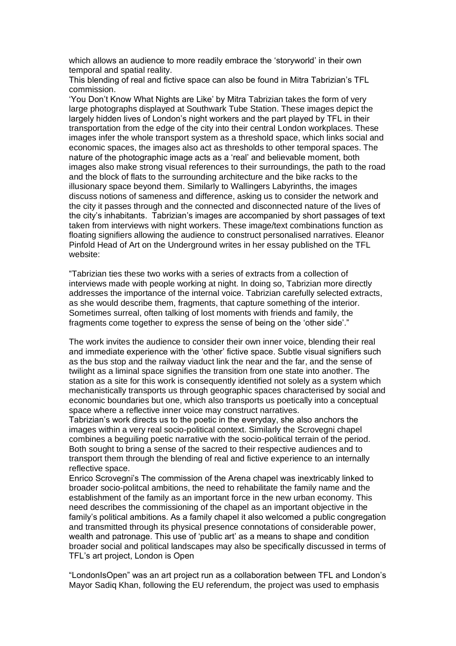which allows an audience to more readily embrace the 'storyworld' in their own temporal and spatial reality.

This blending of real and fictive space can also be found in Mitra Tabrizian's TFL commission.

'You Don't Know What Nights are Like' by Mitra Tabrizian takes the form of very large photographs displayed at Southwark Tube Station. These images depict the largely hidden lives of London's night workers and the part played by TFL in their transportation from the edge of the city into their central London workplaces. These images infer the whole transport system as a threshold space, which links social and economic spaces, the images also act as thresholds to other temporal spaces. The nature of the photographic image acts as a 'real' and believable moment, both images also make strong visual references to their surroundings, the path to the road and the block of flats to the surrounding architecture and the bike racks to the illusionary space beyond them. Similarly to Wallingers Labyrinths, the images discuss notions of sameness and difference, asking us to consider the network and the city it passes through and the connected and disconnected nature of the lives of the city's inhabitants. Tabrizian's images are accompanied by short passages of text taken from interviews with night workers. These image/text combinations function as floating signifiers allowing the audience to construct personalised narratives. Eleanor Pinfold Head of Art on the Underground writes in her essay published on the TFL website:

"Tabrizian ties these two works with a series of extracts from a collection of interviews made with people working at night. In doing so, Tabrizian more directly addresses the importance of the internal voice. Tabrizian carefully selected extracts, as she would describe them, fragments, that capture something of the interior. Sometimes surreal, often talking of lost moments with friends and family, the fragments come together to express the sense of being on the 'other side'."

The work invites the audience to consider their own inner voice, blending their real and immediate experience with the 'other' fictive space. Subtle visual signifiers such as the bus stop and the railway viaduct link the near and the far, and the sense of twilight as a liminal space signifies the transition from one state into another. The station as a site for this work is consequently identified not solely as a system which mechanistically transports us through geographic spaces characterised by social and economic boundaries but one, which also transports us poetically into a conceptual space where a reflective inner voice may construct narratives.

Tabrizian's work directs us to the poetic in the everyday, she also anchors the images within a very real socio-political context. Similarly the Scrovegni chapel combines a beguiling poetic narrative with the socio-political terrain of the period. Both sought to bring a sense of the sacred to their respective audiences and to transport them through the blending of real and fictive experience to an internally reflective space.

Enrico Scrovegni's The commission of the Arena chapel was inextricably linked to broader socio-politcal ambitions, the need to rehabilitate the family name and the establishment of the family as an important force in the new urban economy. This need describes the commissioning of the chapel as an important objective in the family's political ambitions. As a family chapel it also welcomed a public congregation and transmitted through its physical presence connotations of considerable power, wealth and patronage. This use of 'public art' as a means to shape and condition broader social and political landscapes may also be specifically discussed in terms of TFL's art project, London is Open

"LondonIsOpen" was an art project run as a collaboration between TFL and London's Mayor Sadiq Khan, following the EU referendum, the project was used to emphasis